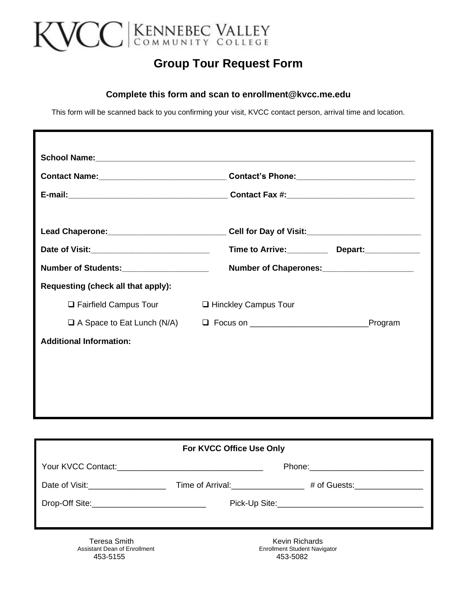

## **Group Tour Request Form**

#### **Complete this form and scan to enrollment@kvcc.me.edu**

This form will be scanned back to you confirming your visit, KVCC contact person, arrival time and location.

| Date of Visit: <u>_____________________________</u> | Time to Arrive: Depart: ________              |         |  |
|-----------------------------------------------------|-----------------------------------------------|---------|--|
| Number of Students:____________________             | Number of Chaperones:________________________ |         |  |
| Requesting (check all that apply):                  |                                               |         |  |
| $\Box$ Fairfield Campus Tour                        | □ Hinckley Campus Tour                        |         |  |
|                                                     |                                               | Program |  |
| <b>Additional Information:</b>                      |                                               |         |  |
|                                                     |                                               |         |  |
|                                                     |                                               |         |  |

| For KVCC Office Use Only               |  |                               |  |
|----------------------------------------|--|-------------------------------|--|
|                                        |  |                               |  |
| Date of Visit: New York Date of Visit: |  | # of Guests:_________________ |  |
|                                        |  |                               |  |
|                                        |  |                               |  |
| Teresa Smith                           |  | Kevin Richards                |  |

453-5155 453-5082

Assistant Dean of Enrollment Enrollment Student Navigator